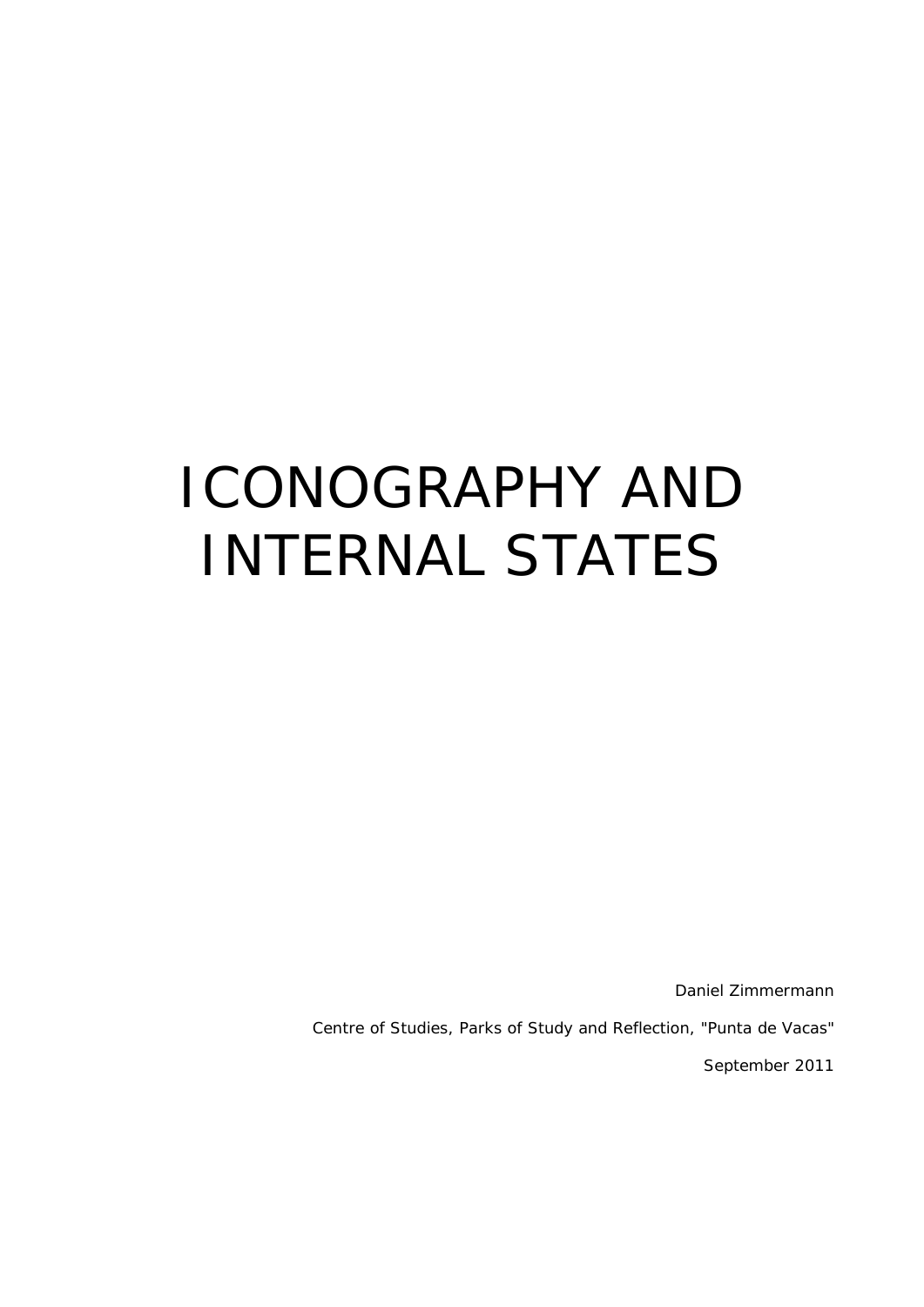# ICONOGRAPHY AND INTERNAL STATES

Daniel Zimmermann

Centre of Studies, Parks of Study and Reflection, "Punta de Vacas"

September 2011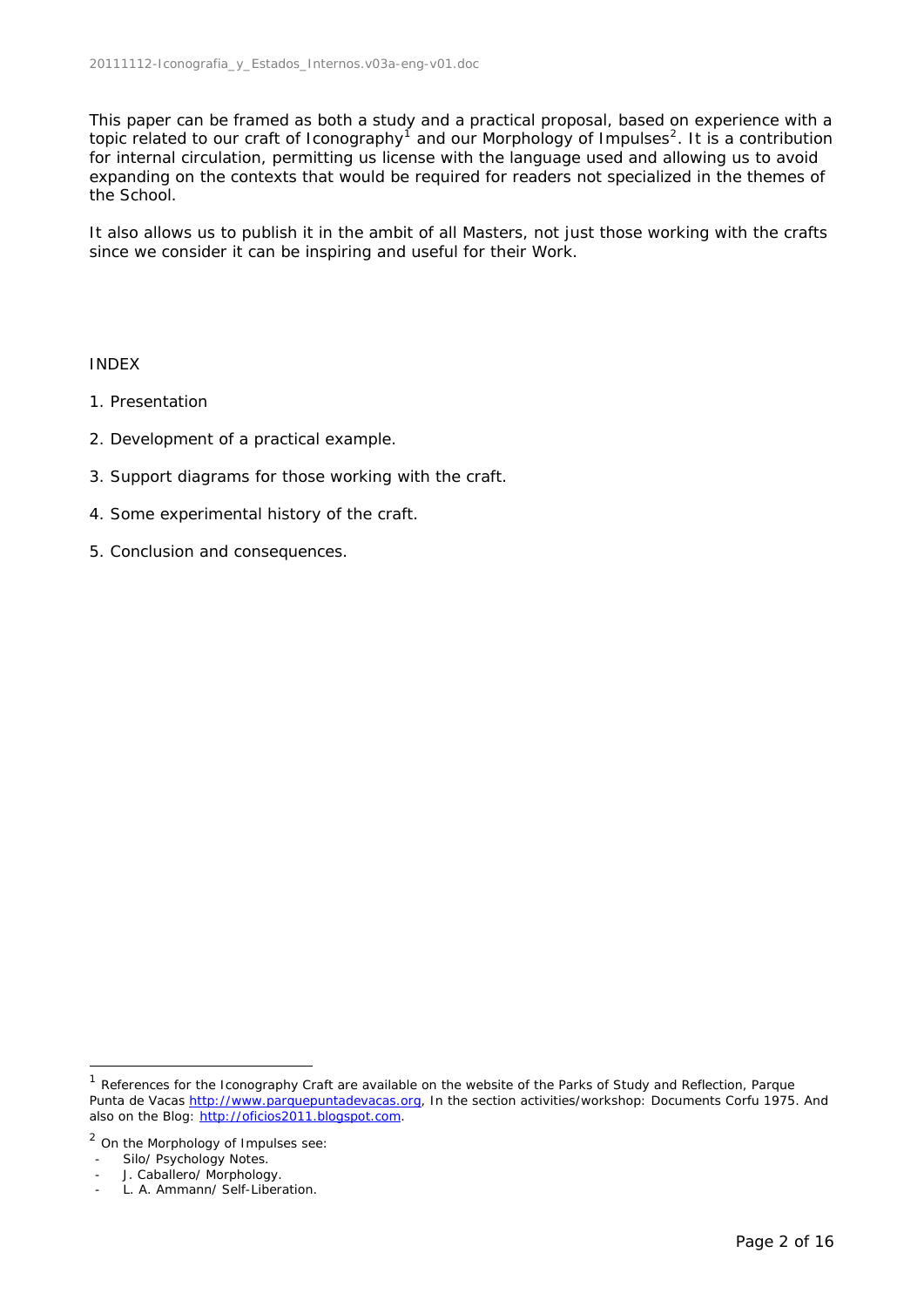This paper can be framed as both a study and a practical proposal, based on experience with a topic related to our craft of Iconography<sup>[1](#page-1-0)</sup> and our Morphology of Impulses<sup>[2](#page-1-1)</sup>. It is a contribution for internal circulation, permitting us license with the language used and allowing us to avoid expanding on the contexts that would be required for readers not specialized in the themes of the School.

It also allows us to publish it in the ambit of all Masters, not just those working with the crafts since we consider it can be inspiring and useful for their Work.

#### INDEX

- 1. Presentation
- 2. Development of a practical example.
- 3. Support diagrams for those working with the craft.
- 4. Some experimental history of the craft.
- 5. Conclusion and consequences.

<span id="page-1-0"></span><sup>&</sup>lt;sup>1</sup> References for the Iconography Craft are available on the website of the Parks of Study and Reflection, Parque Punta de Vacas [http://www.parquepuntadevacas.org](http://www.parquepuntadevacas.org/), In the section activities/workshop: Documents Corfu 1975. And also on the Blog: [http://oficios2011.blogspot.com](http://oficios2011.blogspot.com/).

<span id="page-1-1"></span><sup>&</sup>lt;sup>2</sup> On the Morphology of Impulses see:

<sup>-</sup> Silo/ Psychology Notes.

J. Caballero/ Morphology.

L. A. Ammann/ Self-Liberation.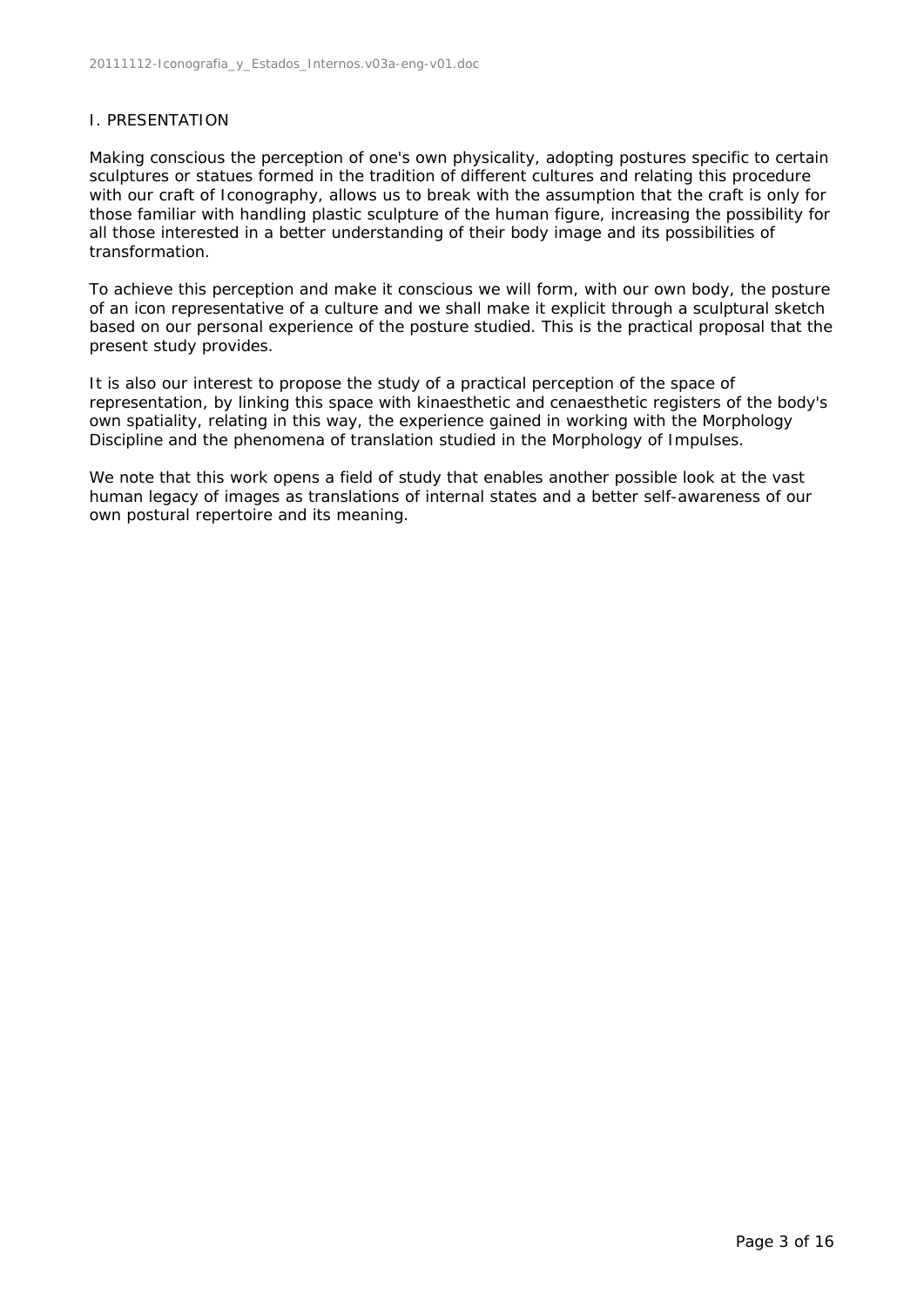# I. PRESENTATION

Making conscious the perception of one's own physicality, adopting postures specific to certain sculptures or statues formed in the tradition of different cultures and relating this procedure with our craft of Iconography, allows us to break with the assumption that the craft is only for those familiar with handling plastic sculpture of the human figure, increasing the possibility for all those interested in a better understanding of their body image and its possibilities of transformation.

To achieve this perception and make it conscious we will form, with our own body, the posture of an icon representative of a culture and we shall make it explicit through a sculptural sketch based on our personal experience of the posture studied. This is the practical proposal that the present study provides.

It is also our interest to propose the study of a practical perception of the space of representation, by linking this space with kinaesthetic and cenaesthetic registers of the body's own spatiality, relating in this way, the experience gained in working with the Morphology Discipline and the phenomena of translation studied in the Morphology of Impulses.

We note that this work opens a field of study that enables another possible look at the vast human legacy of images as translations of internal states and a better self-awareness of our own postural repertoire and its meaning.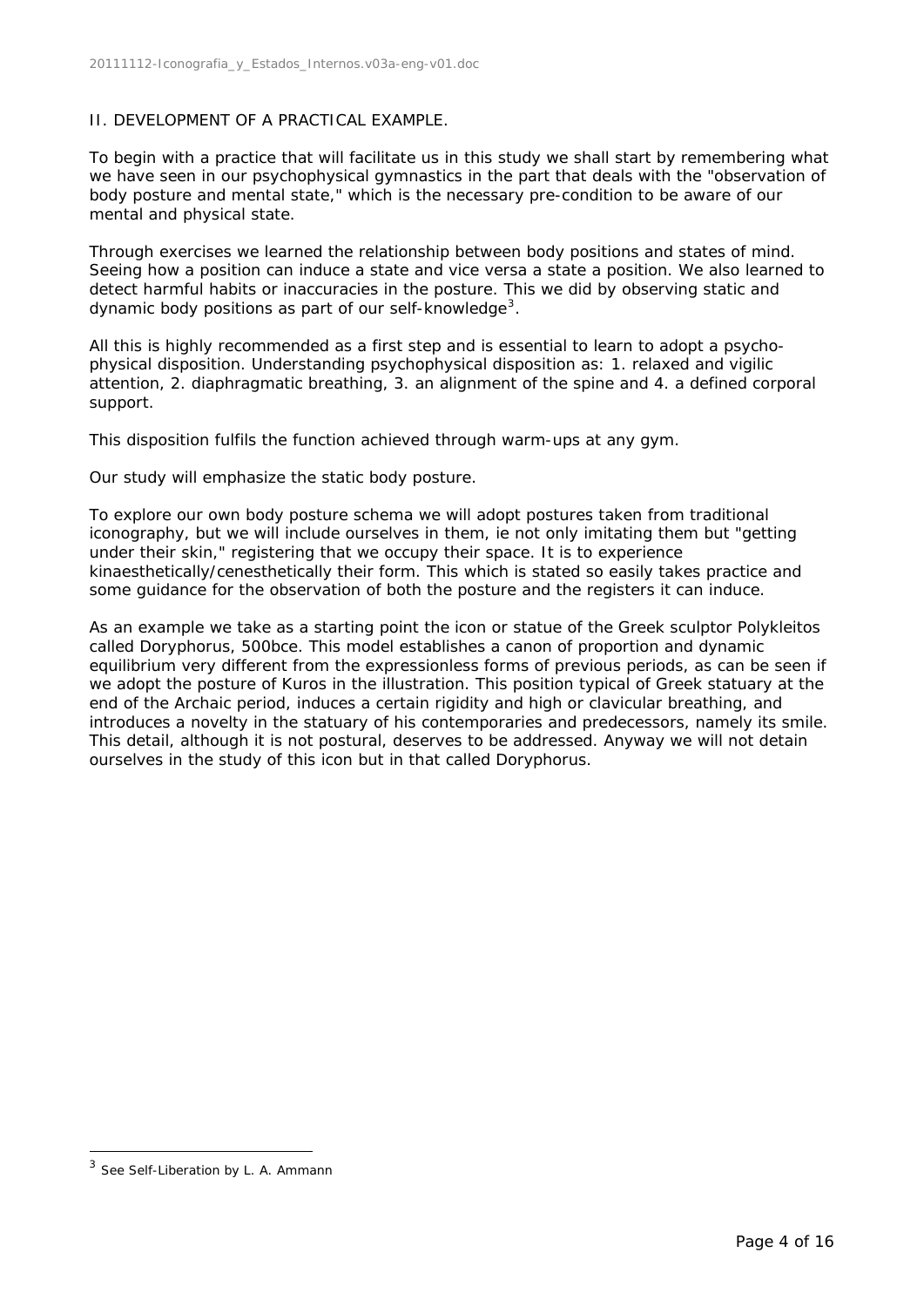# II. DEVELOPMENT OF A PRACTICAL EXAMPLE.

To begin with a practice that will facilitate us in this study we shall start by remembering what we have seen in our psychophysical gymnastics in the part that deals with the "observation of body posture and mental state," which is the necessary pre-condition to be aware of our mental and physical state.

Through exercises we learned the relationship between body positions and states of mind. Seeing how a position can induce a state and vice versa a state a position. We also learned to detect harmful habits or inaccuracies in the posture. This we did by observing static and dynamic body positions as part of our self-knowledge<sup>[3](#page-3-0)</sup>.

All this is highly recommended as a first step and is essential to learn to adopt a psychophysical disposition. Understanding psychophysical disposition as: 1. relaxed and vigilic attention, 2. diaphragmatic breathing, 3. an alignment of the spine and 4. a defined corporal support.

This disposition fulfils the function achieved through warm-ups at any gym.

Our study will emphasize the static body posture.

To explore our own body posture schema we will adopt postures taken from traditional iconography, but we will include ourselves in them, ie not only imitating them but "getting under their skin," registering that we occupy their space. It is to experience kinaesthetically/cenesthetically their form. This which is stated so easily takes practice and some guidance for the observation of both the posture and the registers it can induce.

As an example we take as a starting point the icon or statue of the Greek sculptor Polykleitos called Doryphorus, 500bce. This model establishes a canon of proportion and dynamic equilibrium very different from the expressionless forms of previous periods, as can be seen if we adopt the posture of Kuros in the illustration. This position typical of Greek statuary at the end of the Archaic period, induces a certain rigidity and high or clavicular breathing, and introduces a novelty in the statuary of his contemporaries and predecessors, namely its smile. This detail, although it is not postural, deserves to be addressed. Anyway we will not detain ourselves in the study of this icon but in that called Doryphorus.

1

<span id="page-3-0"></span><sup>3</sup> See Self-Liberation by L. A. Ammann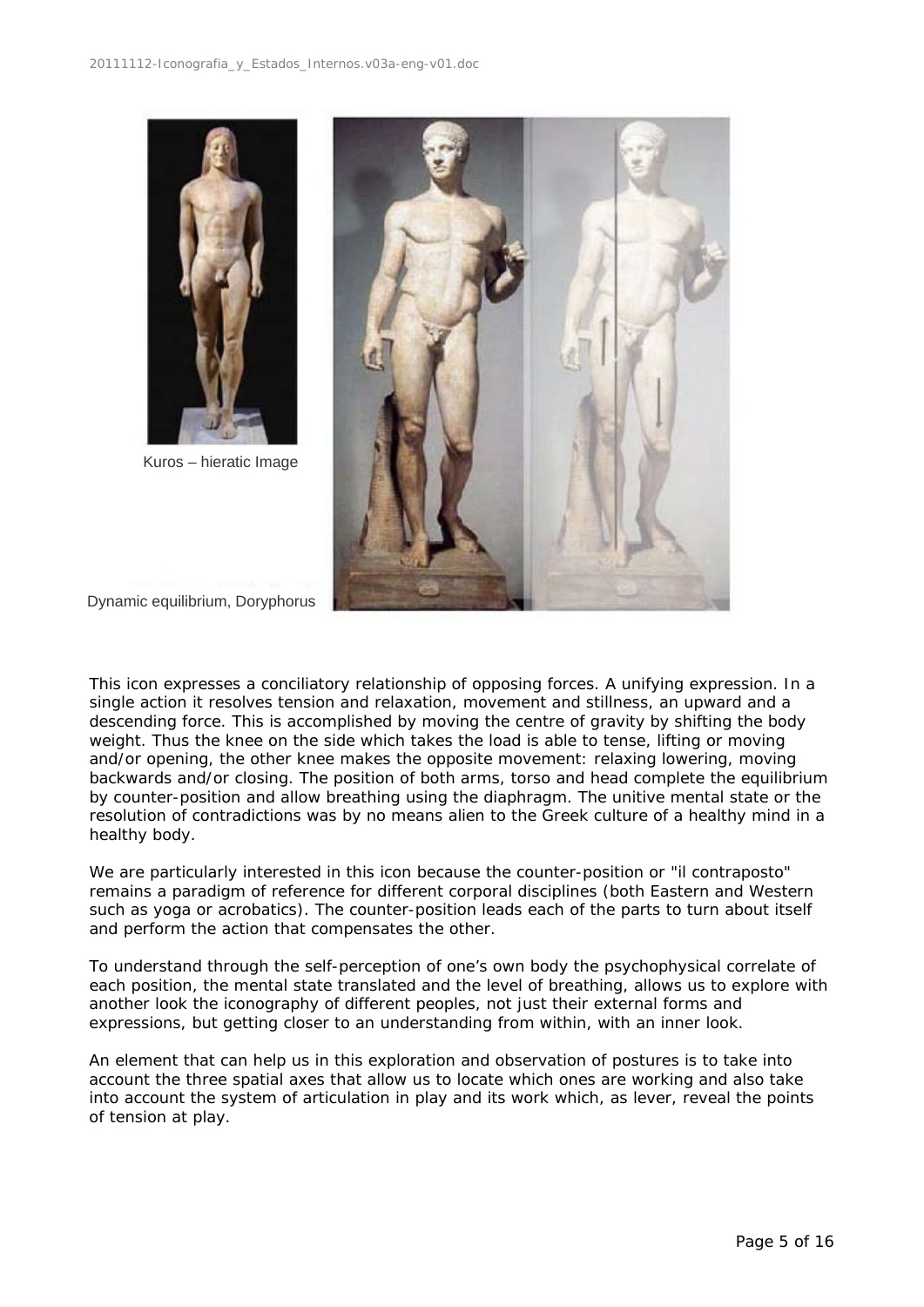

Kuros – hieratic Image



Dynamic equilibrium, Doryphorus

This icon expresses a conciliatory relationship of opposing forces. A unifying expression. In a single action it resolves tension and relaxation, movement and stillness, an upward and a descending force. This is accomplished by moving the centre of gravity by shifting the body weight. Thus the knee on the side which takes the load is able to tense, lifting or moving and/or opening, the other knee makes the opposite movement: relaxing lowering, moving backwards and/or closing. The position of both arms, torso and head complete the equilibrium by counter-position and allow breathing using the diaphragm. The unitive mental state or the resolution of contradictions was by no means alien to the Greek culture of a healthy mind in a healthy body.

We are particularly interested in this icon because the counter-position or "il contraposto" remains a paradigm of reference for different corporal disciplines (both Eastern and Western such as yoga or acrobatics). The counter-position leads each of the parts to turn about itself and perform the action that compensates the other.

To understand through the self-perception of one's own body the psychophysical correlate of each position, the mental state translated and the level of breathing, allows us to explore with another look the iconography of different peoples, not just their external forms and expressions, but getting closer to an understanding from within, with an inner look.

An element that can help us in this exploration and observation of postures is to take into account the three spatial axes that allow us to locate which ones are working and also take into account the system of articulation in play and its work which, as lever, reveal the points of tension at play.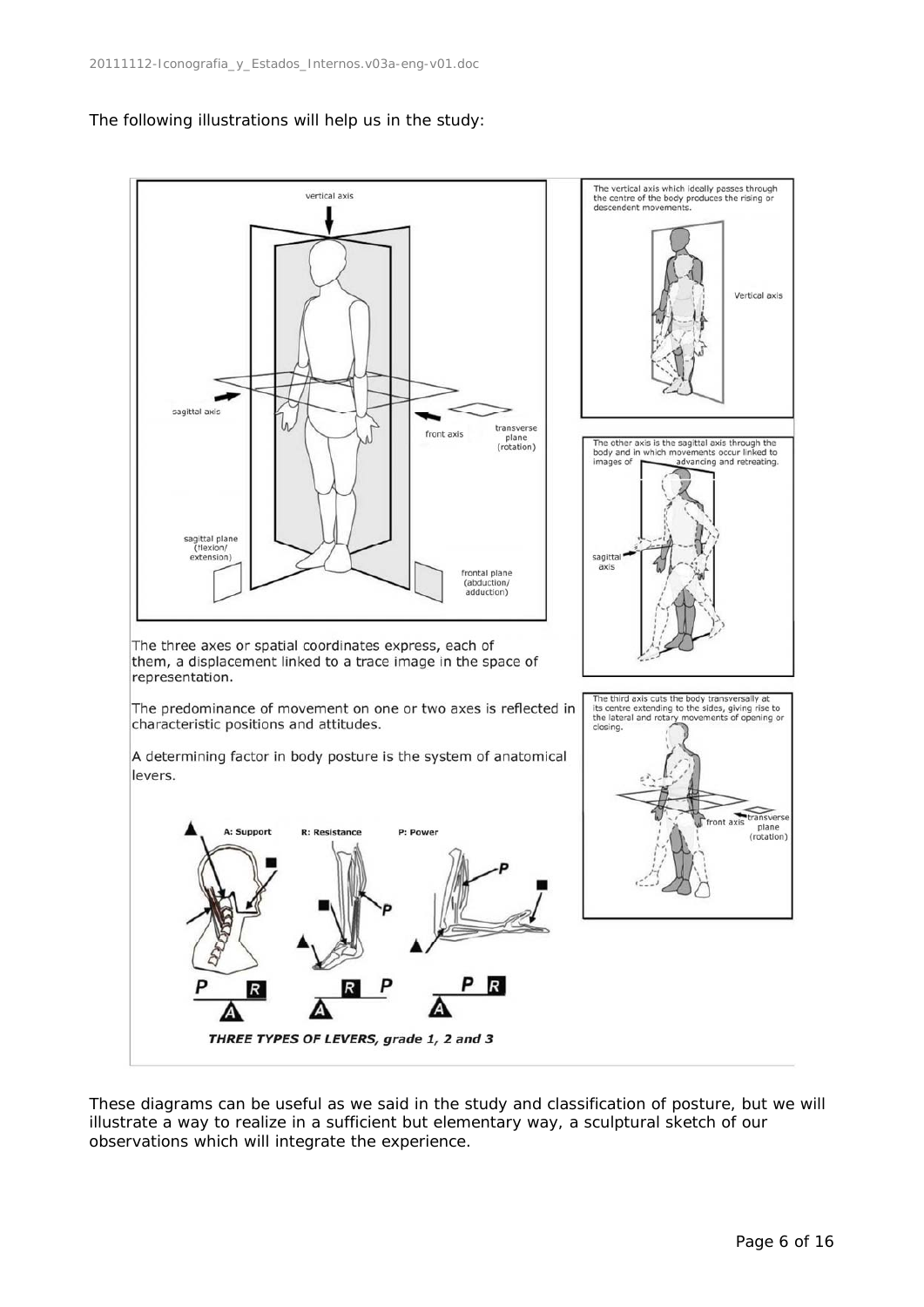



These diagrams can be useful as we said in the study and classification of posture, but we will illustrate a way to realize in a sufficient but elementary way, a sculptural sketch of our observations which will integrate the experience.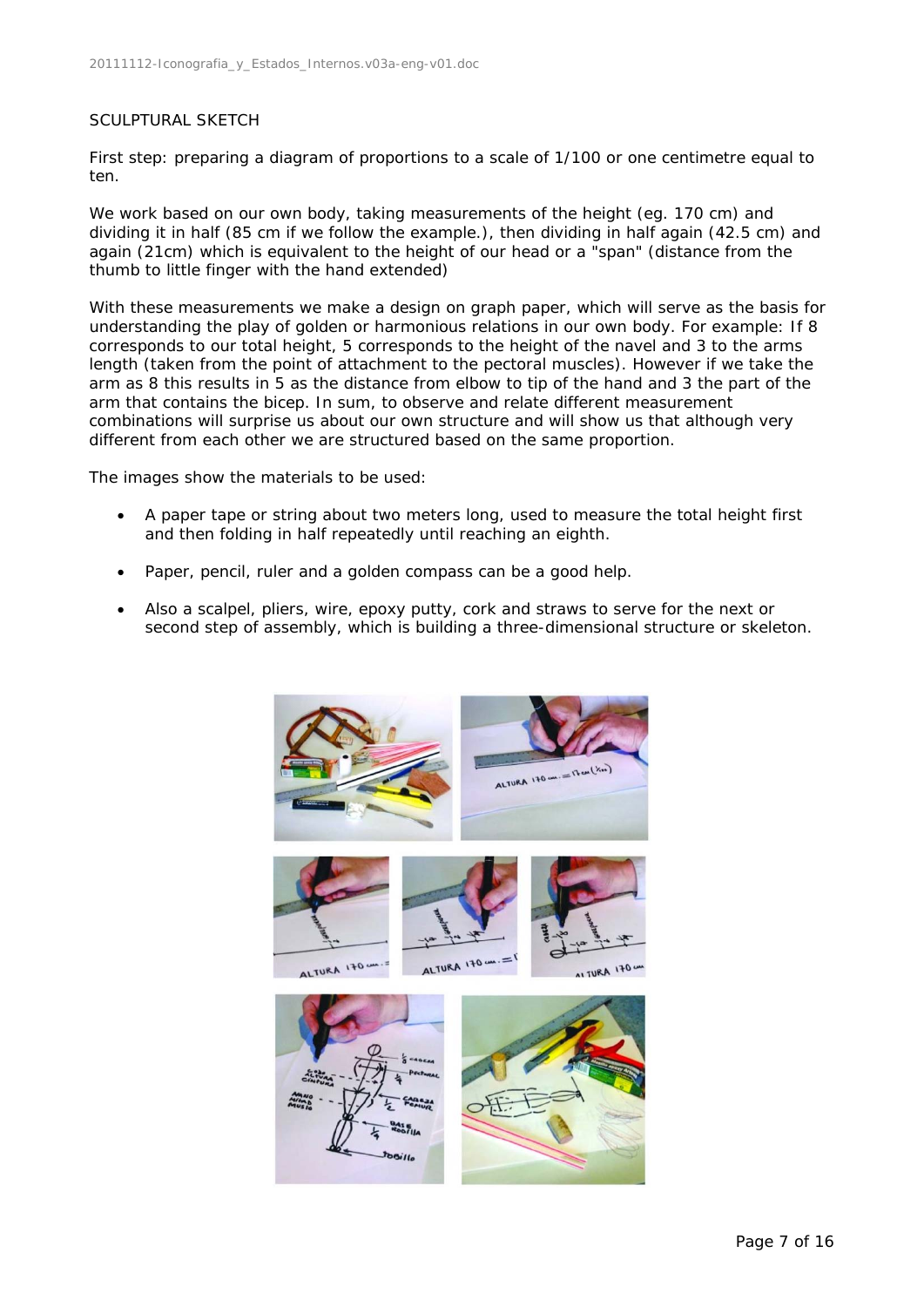#### SCULPTURAL SKETCH

First step: preparing a diagram of proportions to a scale of 1/100 or one centimetre equal to ten.

We work based on our own body, taking measurements of the height (eg. 170 cm) and dividing it in half (85 cm if we follow the example.), then dividing in half again (42.5 cm) and again (21cm) which is equivalent to the height of our head or a "span" (distance from the thumb to little finger with the hand extended)

With these measurements we make a design on graph paper, which will serve as the basis for understanding the play of golden or harmonious relations in our own body. For example: If 8 corresponds to our total height, 5 corresponds to the height of the navel and 3 to the arms length (taken from the point of attachment to the pectoral muscles). However if we take the arm as 8 this results in 5 as the distance from elbow to tip of the hand and 3 the part of the arm that contains the bicep. In sum, to observe and relate different measurement combinations will surprise us about our own structure and will show us that although very different from each other we are structured based on the same proportion.

The images show the materials to be used:

- A paper tape or string about two meters long, used to measure the total height first and then folding in half repeatedly until reaching an eighth.
- Paper, pencil, ruler and a golden compass can be a good help.
- Also a scalpel, pliers, wire, epoxy putty, cork and straws to serve for the next or second step of assembly, which is building a three-dimensional structure or skeleton.

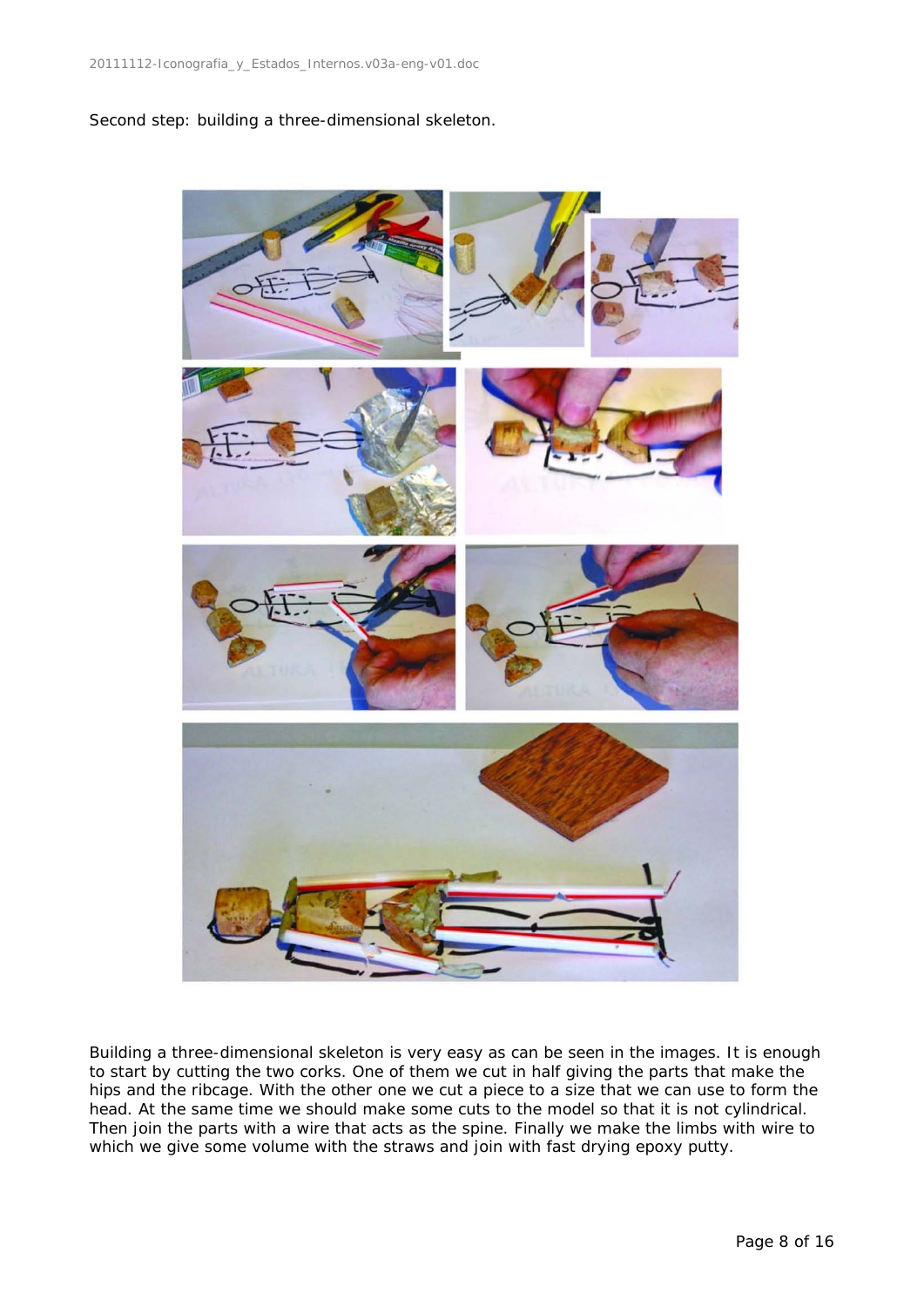Second step: building a three-dimensional skeleton.



Building a three-dimensional skeleton is very easy as can be seen in the images. It is enough to start by cutting the two corks. One of them we cut in half giving the parts that make the hips and the ribcage. With the other one we cut a piece to a size that we can use to form the head. At the same time we should make some cuts to the model so that it is not cylindrical. Then join the parts with a wire that acts as the spine. Finally we make the limbs with wire to which we give some volume with the straws and join with fast drying epoxy putty.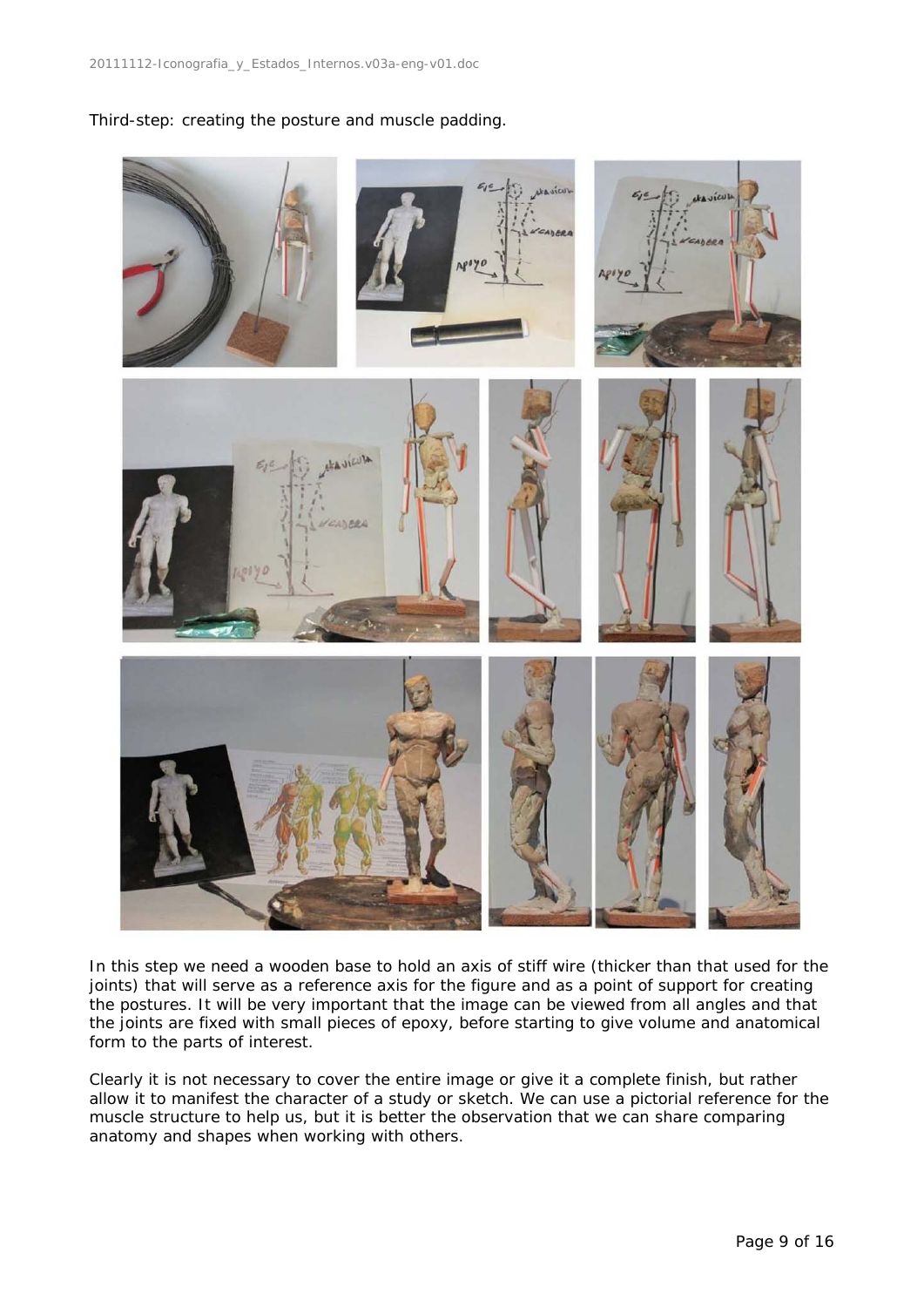Third-step: creating the posture and muscle padding.



In this step we need a wooden base to hold an axis of stiff wire (thicker than that used for the joints) that will serve as a reference axis for the figure and as a point of support for creating the postures. It will be very important that the image can be viewed from all angles and that the joints are fixed with small pieces of epoxy, before starting to give volume and anatomical form to the parts of interest.

Clearly it is not necessary to cover the entire image or give it a complete finish, but rather allow it to manifest the character of a study or sketch. We can use a pictorial reference for the muscle structure to help us, but it is better the observation that we can share comparing anatomy and shapes when working with others.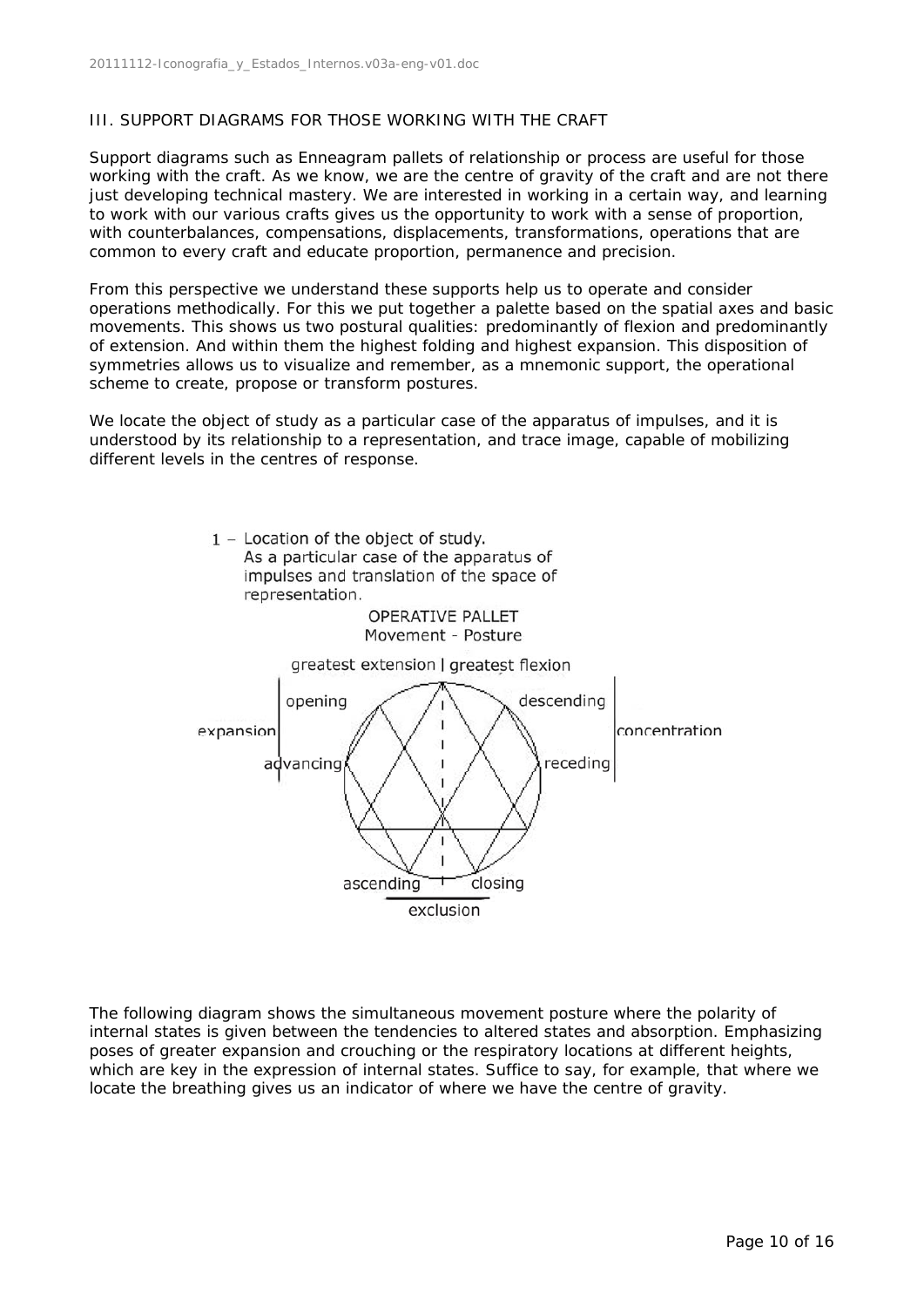#### III. SUPPORT DIAGRAMS FOR THOSE WORKING WITH THE CRAFT

Support diagrams such as Enneagram pallets of relationship or process are useful for those working with the craft. As we know, we are the centre of gravity of the craft and are not there just developing technical mastery. We are interested in working in a certain way, and learning to work with our various crafts gives us the opportunity to work with a sense of proportion, with counterbalances, compensations, displacements, transformations, operations that are common to every craft and educate proportion, permanence and precision.

From this perspective we understand these supports help us to operate and consider operations methodically. For this we put together a palette based on the spatial axes and basic movements. This shows us two postural qualities: predominantly of flexion and predominantly of extension. And within them the highest folding and highest expansion. This disposition of symmetries allows us to visualize and remember, as a mnemonic support, the operational scheme to create, propose or transform postures.

We locate the object of study as a particular case of the apparatus of impulses, and it is understood by its relationship to a representation, and trace image, capable of mobilizing different levels in the centres of response.



The following diagram shows the simultaneous movement posture where the polarity of internal states is given between the tendencies to altered states and absorption. Emphasizing poses of greater expansion and crouching or the respiratory locations at different heights, which are key in the expression of internal states. Suffice to say, for example, that where we locate the breathing gives us an indicator of where we have the centre of gravity.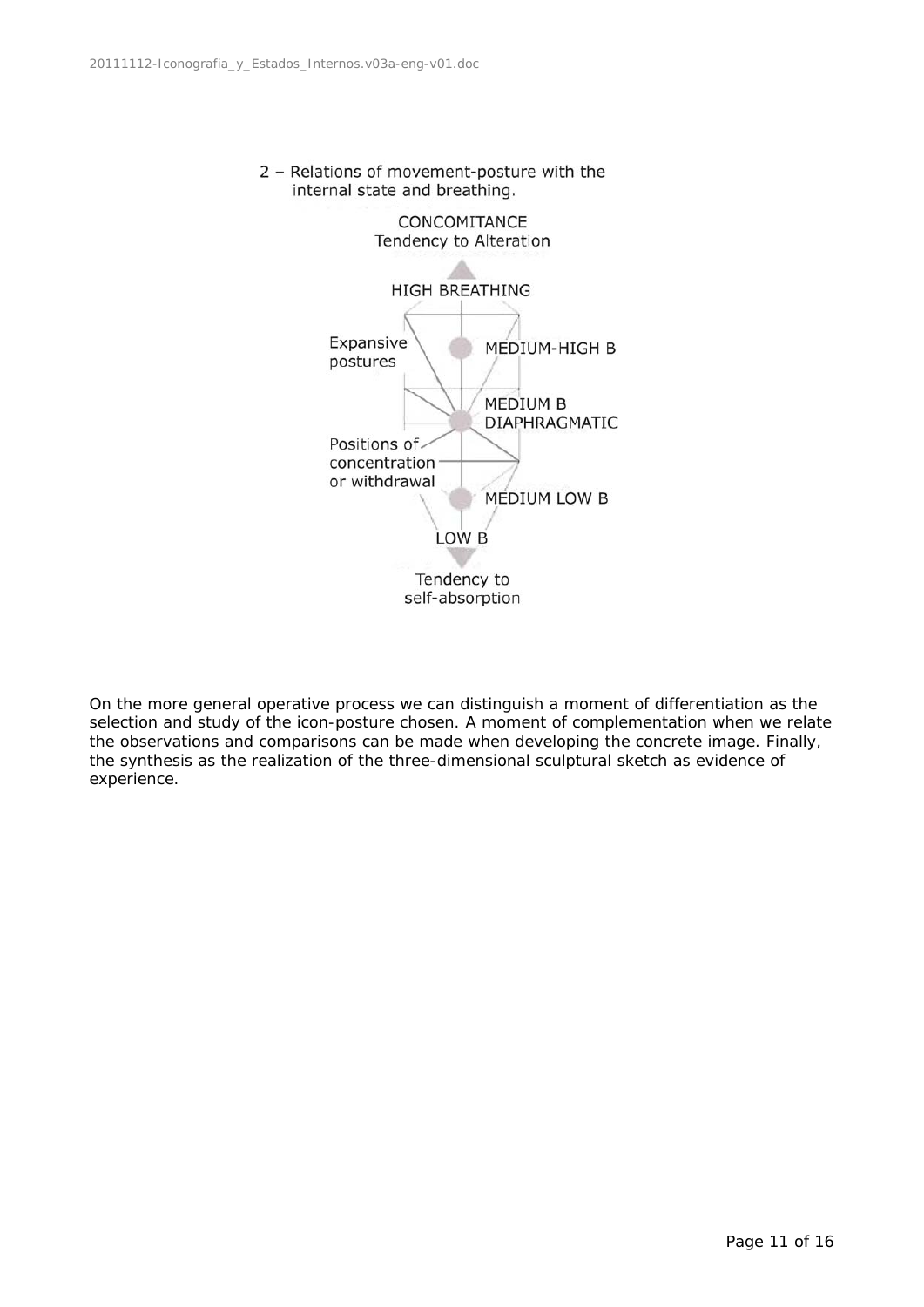



On the more general operative process we can distinguish a moment of differentiation as the selection and study of the icon-posture chosen. A moment of complementation when we relate the observations and comparisons can be made when developing the concrete image. Finally, the synthesis as the realization of the three-dimensional sculptural sketch as evidence of experience.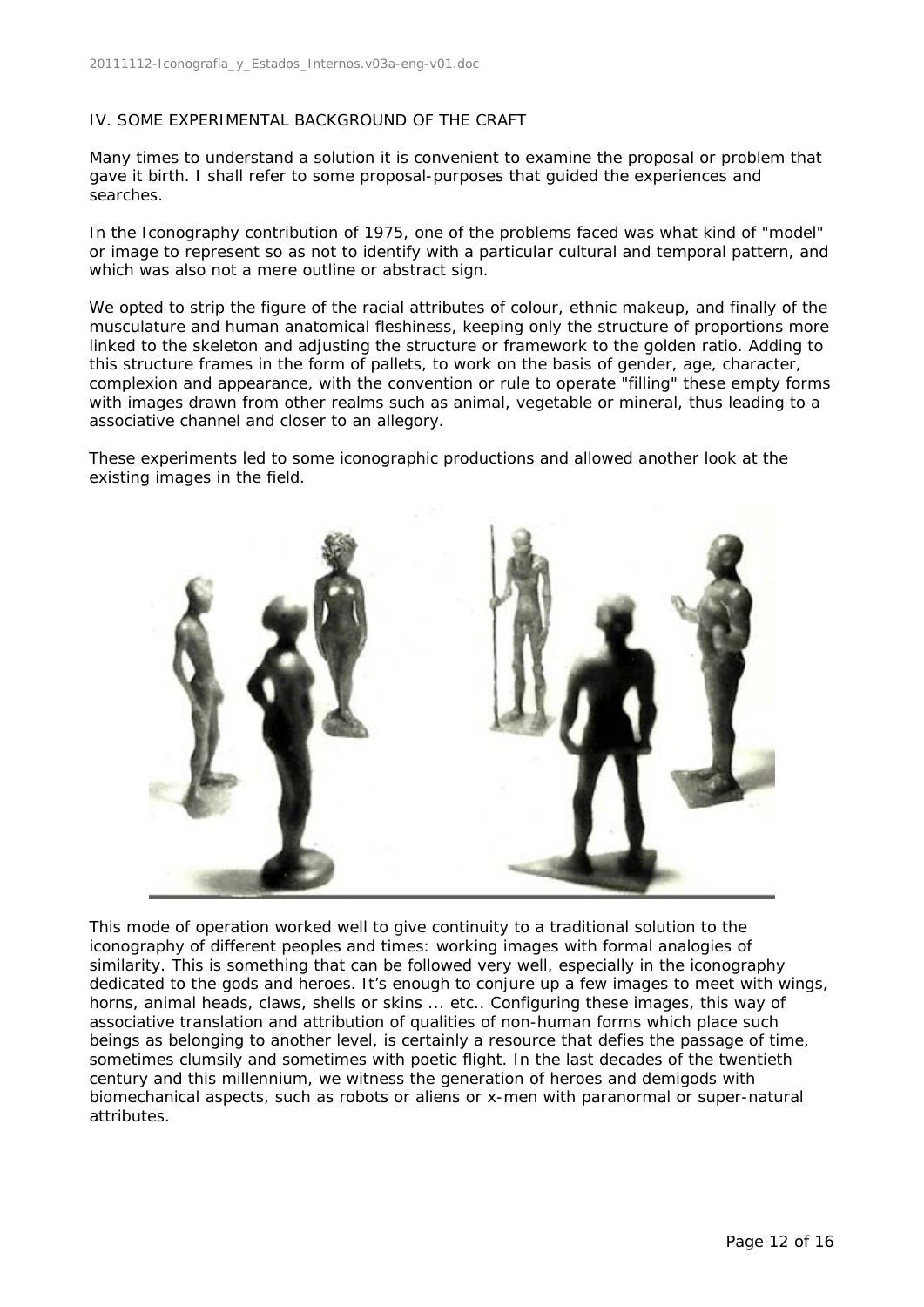### IV. SOME EXPERIMENTAL BACKGROUND OF THE CRAFT

Many times to understand a solution it is convenient to examine the proposal or problem that gave it birth. I shall refer to some proposal-purposes that guided the experiences and searches.

In the Iconography contribution of 1975, one of the problems faced was what kind of "model" or image to represent so as not to identify with a particular cultural and temporal pattern, and which was also not a mere outline or abstract sign.

We opted to strip the figure of the racial attributes of colour, ethnic makeup, and finally of the musculature and human anatomical fleshiness, keeping only the structure of proportions more linked to the skeleton and adjusting the structure or framework to the golden ratio. Adding to this structure frames in the form of pallets, to work on the basis of gender, age, character, complexion and appearance, with the convention or rule to operate "filling" these empty forms with images drawn from other realms such as animal, vegetable or mineral, thus leading to a associative channel and closer to an allegory.

These experiments led to some iconographic productions and allowed another look at the existing images in the field.



This mode of operation worked well to give continuity to a traditional solution to the iconography of different peoples and times: working images with formal analogies of similarity. This is something that can be followed very well, especially in the iconography dedicated to the gods and heroes. It's enough to conjure up a few images to meet with wings, horns, animal heads, claws, shells or skins ... etc.. Configuring these images, this way of associative translation and attribution of qualities of non-human forms which place such beings as belonging to another level, is certainly a resource that defies the passage of time, sometimes clumsily and sometimes with poetic flight. In the last decades of the twentieth century and this millennium, we witness the generation of heroes and demigods with biomechanical aspects, such as robots or aliens or x-men with paranormal or super-natural attributes.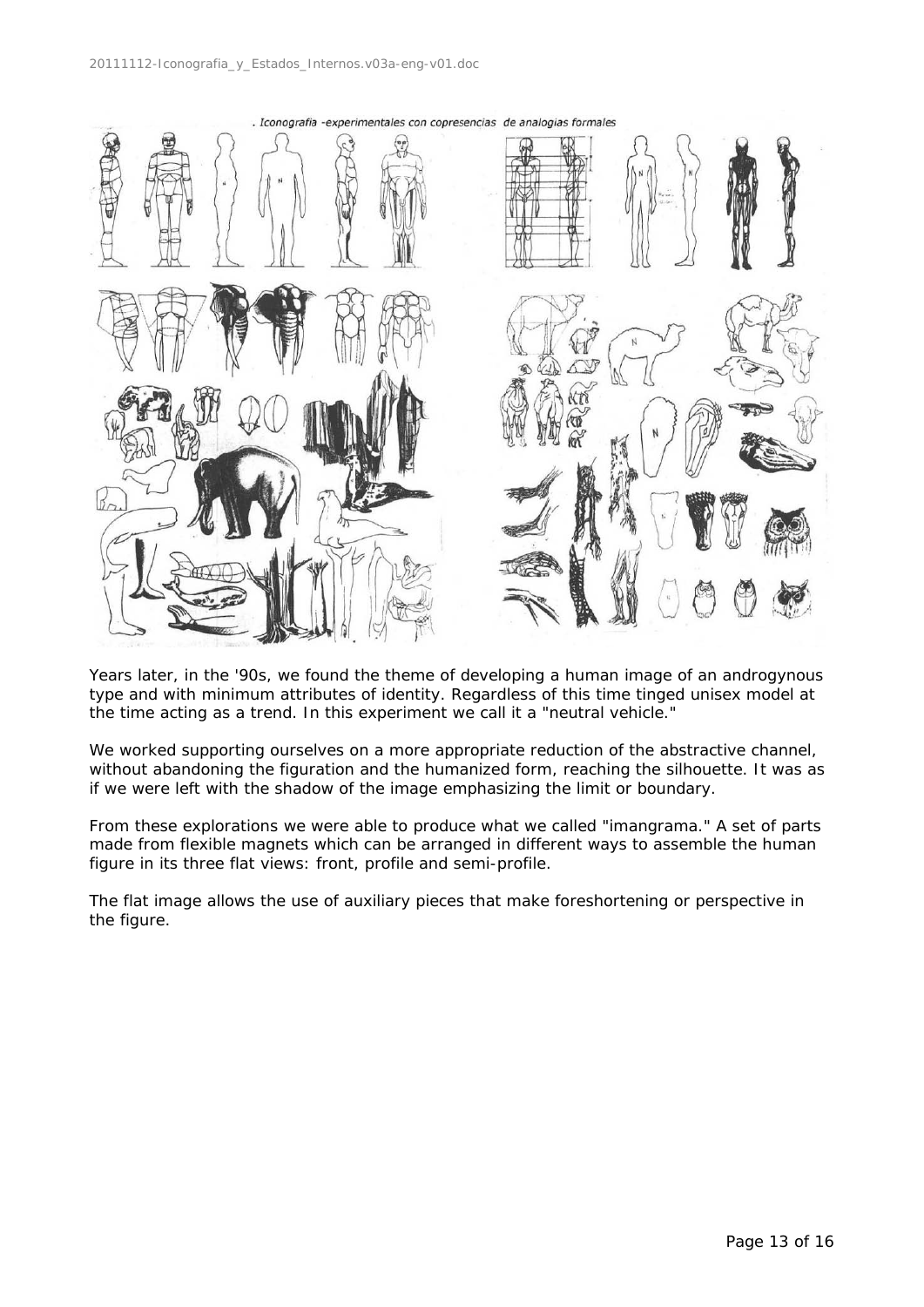

Years later, in the '90s, we found the theme of developing a human image of an androgynous type and with minimum attributes of identity. Regardless of this time tinged unisex model at the time acting as a trend. In this experiment we call it a "neutral vehicle."

We worked supporting ourselves on a more appropriate reduction of the abstractive channel, without abandoning the figuration and the humanized form, reaching the silhouette. It was as if we were left with the shadow of the image emphasizing the limit or boundary.

From these explorations we were able to produce what we called "imangrama." A set of parts made from flexible magnets which can be arranged in different ways to assemble the human figure in its three flat views: front, profile and semi-profile.

The flat image allows the use of auxiliary pieces that make foreshortening or perspective in the figure.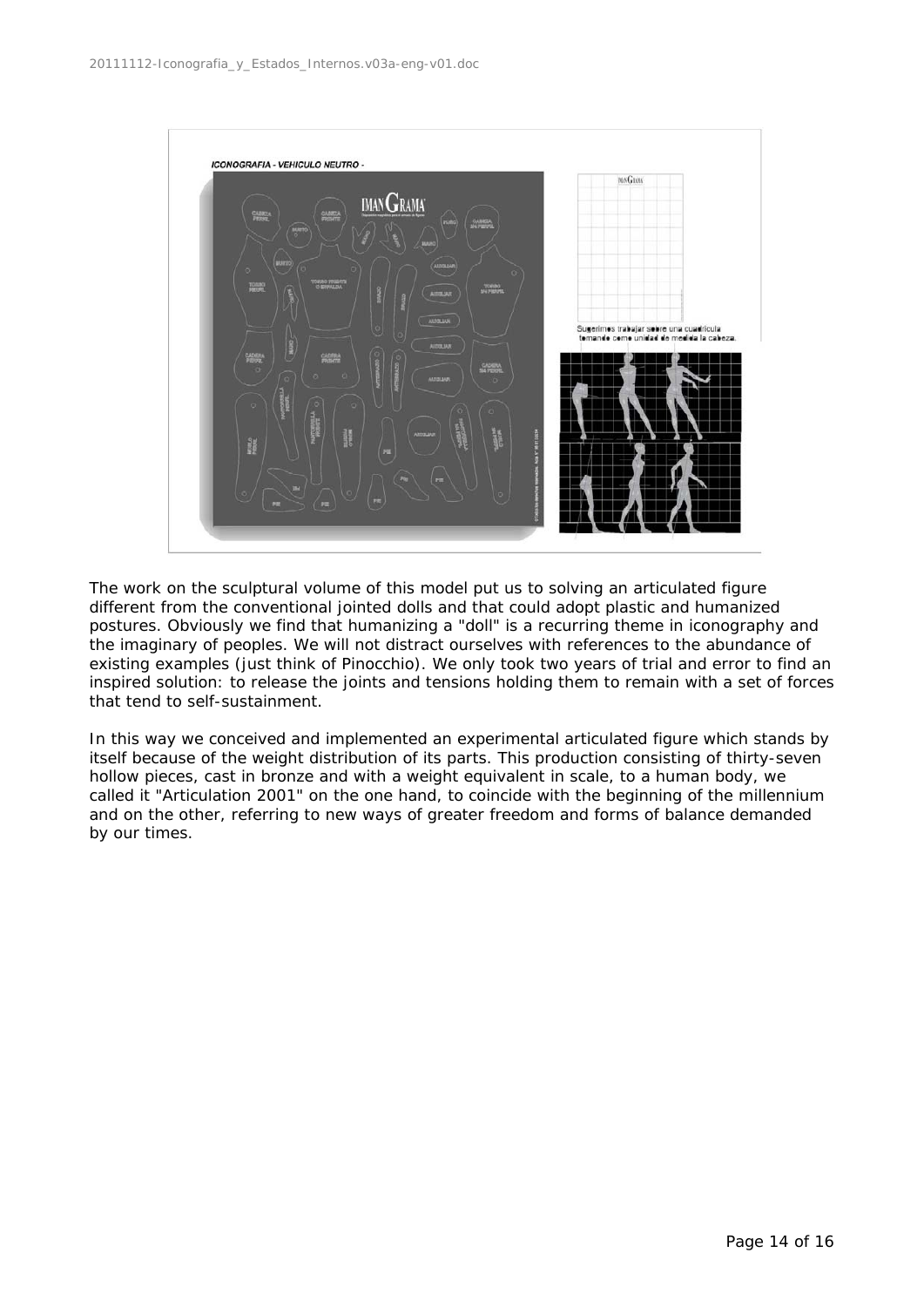

The work on the sculptural volume of this model put us to solving an articulated figure different from the conventional jointed dolls and that could adopt plastic and humanized postures. Obviously we find that humanizing a "doll" is a recurring theme in iconography and the imaginary of peoples. We will not distract ourselves with references to the abundance of existing examples (just think of Pinocchio). We only took two years of trial and error to find an inspired solution: to release the joints and tensions holding them to remain with a set of forces that tend to self-sustainment.

In this way we conceived and implemented an experimental articulated figure which stands by itself because of the weight distribution of its parts. This production consisting of thirty-seven hollow pieces, cast in bronze and with a weight equivalent in scale, to a human body, we called it "Articulation 2001" on the one hand, to coincide with the beginning of the millennium and on the other, referring to new ways of greater freedom and forms of balance demanded by our times.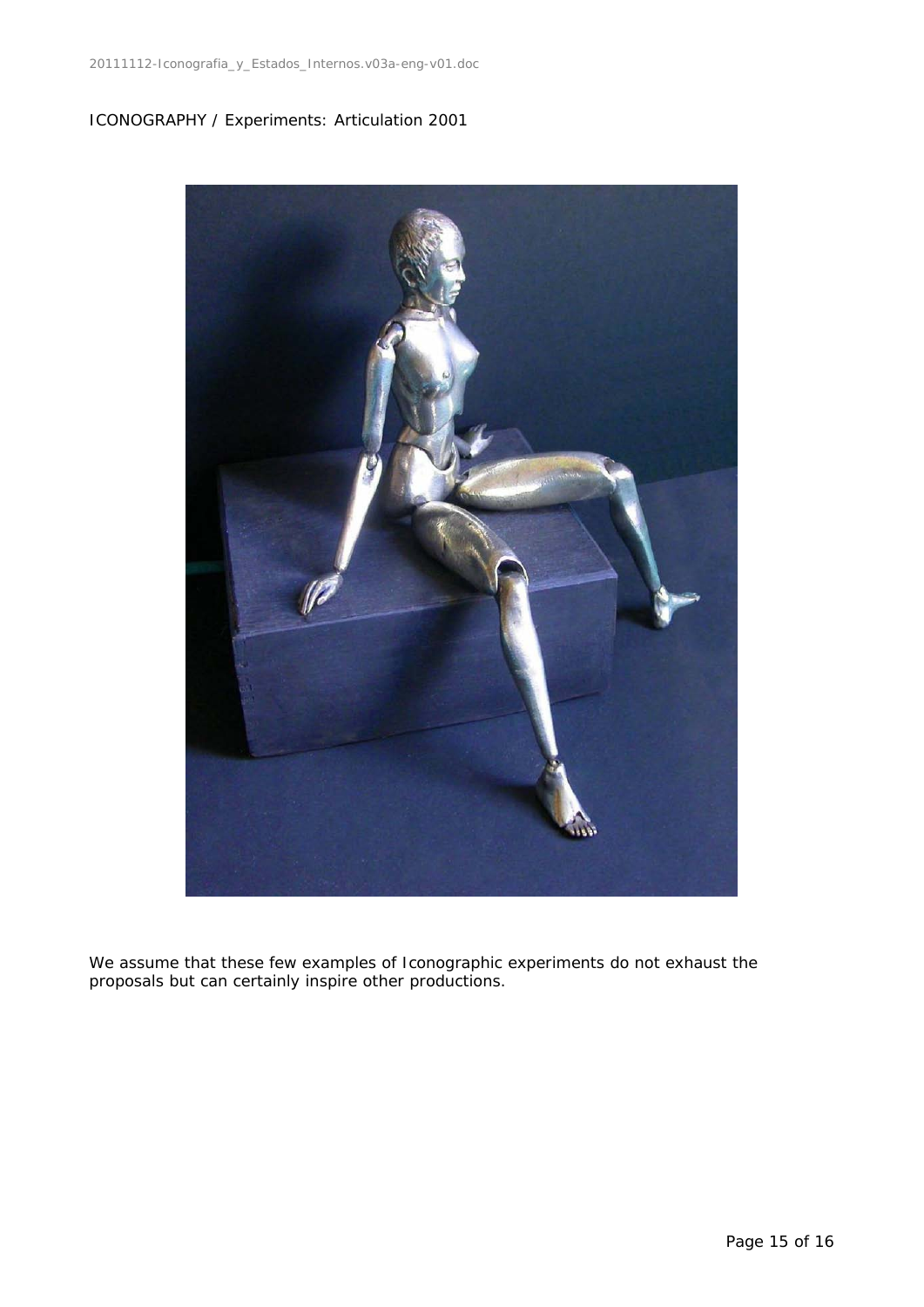# ICONOGRAPHY / Experiments: Articulation 2001



We assume that these few examples of Iconographic experiments do not exhaust the proposals but can certainly inspire other productions.